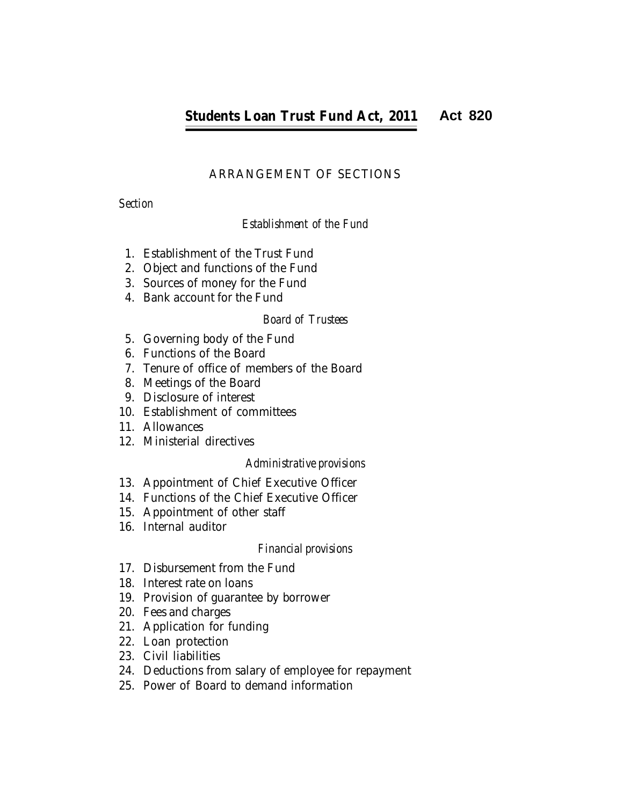# ARRANGEMENT OF SECTIONS

*Section*

# *Establishment of the Fund*

- 1. Establishment of the Trust Fund
- 2. Object and functions of the Fund
- 3. Sources of money for the Fund
- 4. Bank account for the Fund

## *Board of Trustees*

- 5. Governing body of the Fund
- 6. Functions of the Board
- 7. Tenure of office of members of the Board
- 8. Meetings of the Board
- 9. Disclosure of interest
- 10. Establishment of committees
- 11. Allowances
- 12. Ministerial directives

## *Administrative provisions*

- 13. Appointment of Chief Executive Officer
- 14. Functions of the Chief Executive Officer
- 15. Appointment of other staff
- 16. Internal auditor

## *Financial provisions*

- 17. Disbursement from the Fund
- 18. Interest rate on loans
- 19. Provision of guarantee by borrower
- 20. Fees and charges
- 21. Application for funding
- 22. Loan protection
- 23. Civil liabilities
- 24. Deductions from salary of employee for repayment
- 1 25. Power of Board to demand information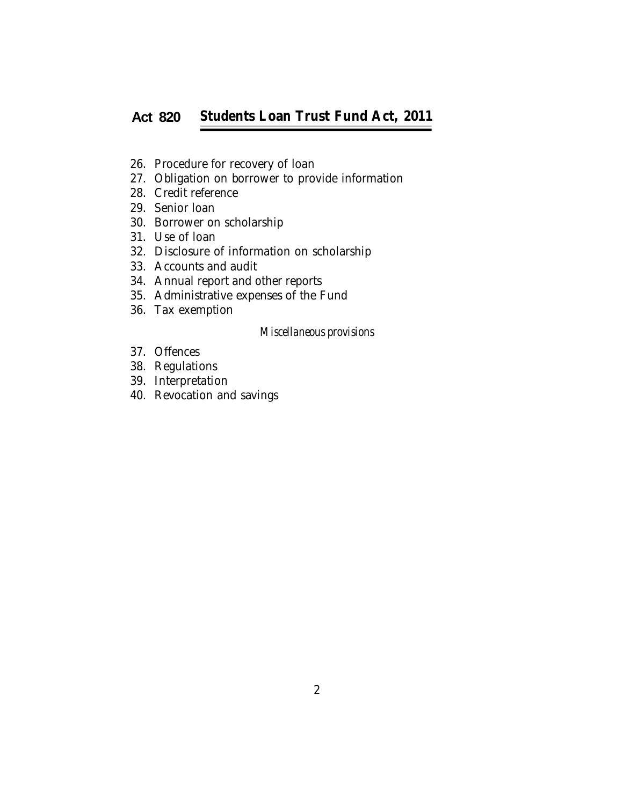#### *Students Loan Trust Fund Act, 2011* **Students Loan Trust Fund Act, 2011Act 820**

- 26. Procedure for recovery of loan
- 27. Obligation on borrower to provide information
- 28. Credit reference
- 29. Senior loan
- 30. Borrower on scholarship
- 31. Use of loan
- 32. Disclosure of information on scholarship
- 33. Accounts and audit
- 34. Annual report and other reports
- 35. Administrative expenses of the Fund
- 36. Tax exemption

#### *Miscellaneous provisions*

- 37. Offences
- 38. Regulations
- 39. Interpretation
- 40. Revocation and savings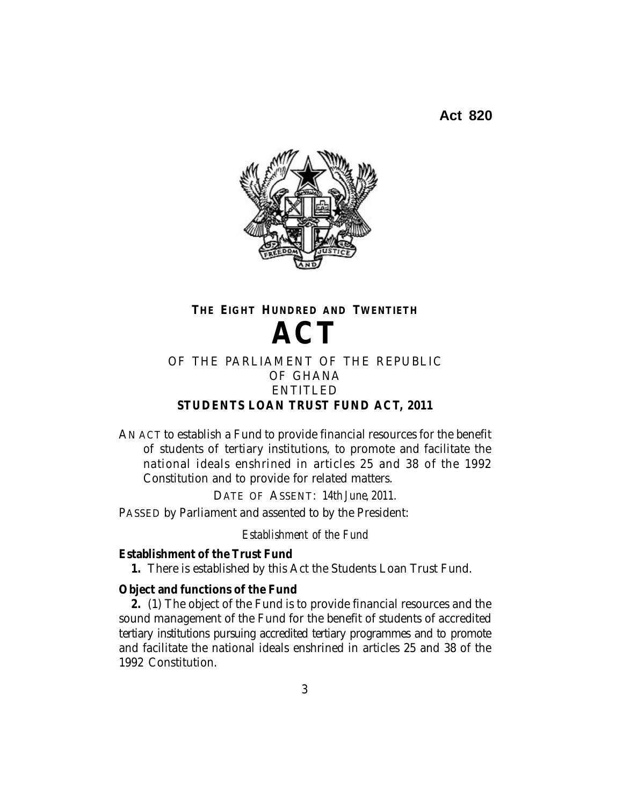

# **THE EIGHT HUNDRED AND TWENTIETH ACT**

## OF THE PARLIAMENT OF THE REPUBLIC OF GHANA ENTITLED **STUDENTS LOAN TRUST FUND ACT, 2011**

AN ACT to establish a Fund to provide financial resources for the benefit of students of tertiary institutions, to promote and facilitate the national ideals enshrined in articles 25 and 38 of the 1992 Constitution and to provide for related matters.

DATE OF ASSENT: *14th June, 2011.*

PASSED by Parliament and assented to by the President:

*Establishment of the Fund*

## **Establishment of the Trust Fund**

**1.** There is established by this Act the Students Loan Trust Fund.

## **Object and functions of the Fund**

**2.** (1) The object of the Fund is to provide financial resources and the sound management of the Fund for the benefit of students of accredited tertiary institutions pursuing accredited tertiary programmes and to promote and facilitate the national ideals enshrined in articles 25 and 38 of the 1992 Constitution.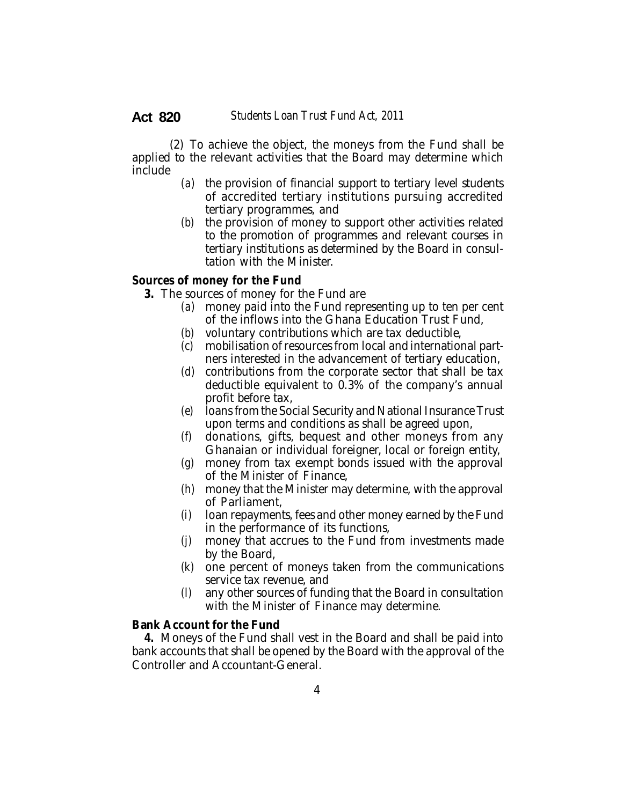(2) To achieve the object, the moneys from the Fund shall be applied to the relevant activities that the Board may determine which include

- *(a)* the provision of financial support to tertiary level students of accredited tertiary institutions pursuing accredited tertiary programmes, and
- *(b)* the provision of money to support other activities related to the promotion of programmes and relevant courses in tertiary institutions as determined by the Board in consultation with the Minister.

#### **Sources of money for the Fund**

- **3.** The sources of money for the Fund are
	- *(a)* money paid into the Fund representing up to ten per cent of the inflows into the Ghana Education Trust Fund,
	- *(b)* voluntary contributions which are tax deductible,
	- *(c)* mobilisation of resources from local and international partners interested in the advancement of tertiary education,
	- *(d)* contributions from the corporate sector that shall be tax deductible equivalent to 0.3% of the company's annual profit before tax,
	- *(e)* loans from the Social Security and National Insurance Trust upon terms and conditions as shall be agreed upon,
	- *(f)* donations, gifts, bequest and other moneys from any Ghanaian or individual foreigner, local or foreign entity,
	- *(g)* money from tax exempt bonds issued with the approval of the Minister of Finance,
	- *(h)* money that the Minister may determine, with the approval of Parliament,
	- *(i)* loan repayments, fees and other money earned by the Fund in the performance of its functions,
	- *(j)* money that accrues to the Fund from investments made by the Board,
	- *(k)* one percent of moneys taken from the communications service tax revenue, and
	- *(l)* any other sources of funding that the Board in consultation with the Minister of Finance may determine.

#### **Bank Account for the Fund**

**4.** Moneys of the Fund shall vest in the Board and shall be paid into bank accounts that shall be opened by the Board with the approval of the Controller and Accountant-General.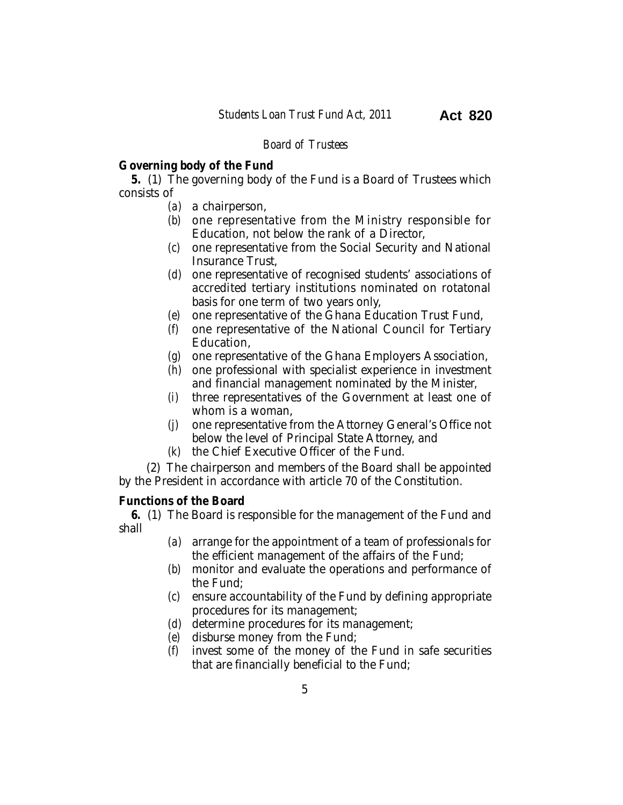### *Board of Trustees*

## **Governing body of the Fund**

**5.** (1) The governing body of the Fund is a Board of Trustees which consists of

- *(a)* a chairperson,
- *(b)* one representative from the Ministry responsible for Education, not below the rank of a Director,
- *(c)* one representative from the Social Security and National Insurance Trust,
- *(d)* one representative of recognised students' associations of accredited tertiary institutions nominated on rotatonal basis for one term of two years only,
- *(e)* one representative of the Ghana Education Trust Fund,
- *(f)* one representative of the National Council for Tertiary Education,
- *(g)* one representative of the Ghana Employers Association,
- *(h)* one professional with specialist experience in investment and financial management nominated by the Minister,
- *(i)* three representatives of the Government at least one of whom is a woman,
- *(j)* one representative from the Attorney General's Office not below the level of Principal State Attorney, and
- *(k)* the Chief Executive Officer of the Fund.

(2) The chairperson and members of the Board shall be appointed by the President in accordance with article 70 of the Constitution.

## **Functions of the Board**

**6.** (1) The Board is responsible for the management of the Fund and shall

- *(a)* arrange for the appointment of a team of professionals for the efficient management of the affairs of the Fund;
- *(b)* monitor and evaluate the operations and performance of the Fund;
- *(c)* ensure accountability of the Fund by defining appropriate procedures for its management;
- *(d)* determine procedures for its management;
- *(e)* disburse money from the Fund;
- *(f)* invest some of the money of the Fund in safe securities that are financially beneficial to the Fund;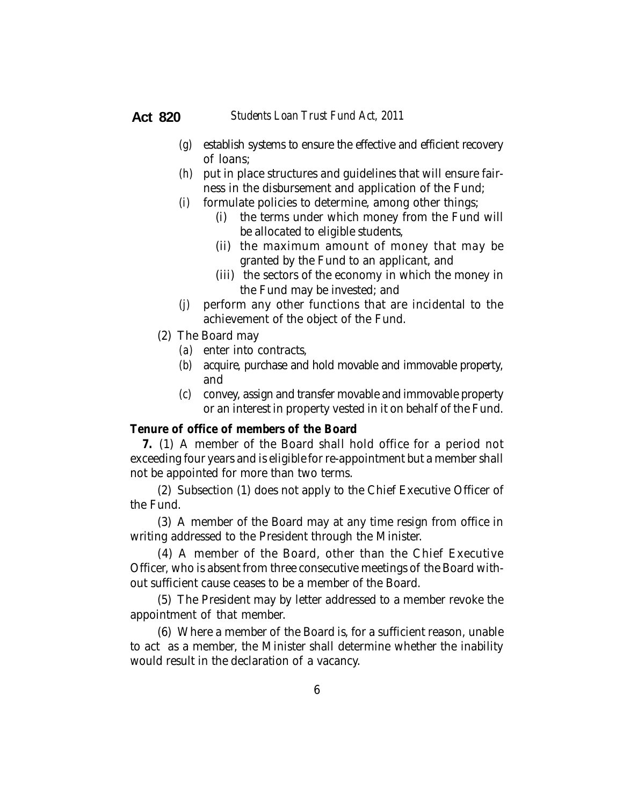- *(g)* establish systems to ensure the effective and efficient recovery of loans;
- *(h)* put in place structures and guidelines that will ensure fairness in the disbursement and application of the Fund;
- *(i)* formulate policies to determine, among other things;
	- (i) the terms under which money from the Fund will be allocated to eligible students,
	- (ii) the maximum amount of money that may be granted by the Fund to an applicant, and
	- (iii) the sectors of the economy in which the money in the Fund may be invested; and
- *(j)* perform any other functions that are incidental to the achievement of the object of the Fund.
- (2) The Board may
	- *(a)* enter into contracts,
	- *(b)* acquire, purchase and hold movable and immovable property, and
	- *(c)* convey, assign and transfer movable and immovable property or an interest in property vested in it on behalf of the Fund.

#### **Tenure of office of members of the Board**

**7.** (1) A member of the Board shall hold office for a period not exceeding four years and is eligible for re-appointment but a member shall not be appointed for more than two terms.

(2) Subsection (1) does not apply to the Chief Executive Officer of the Fund.

(3) A member of the Board may at any time resign from office in writing addressed to the President through the Minister.

(4) A member of the Board, other than the Chief Executive Officer, who is absent from three consecutive meetings of the Board without sufficient cause ceases to be a member of the Board.

(5) The President may by letter addressed to a member revoke the appointment of that member.

(6) Where a member of the Board is, for a sufficient reason, unable to act as a member, the Minister shall determine whether the inability would result in the declaration of a vacancy.

**Act 820**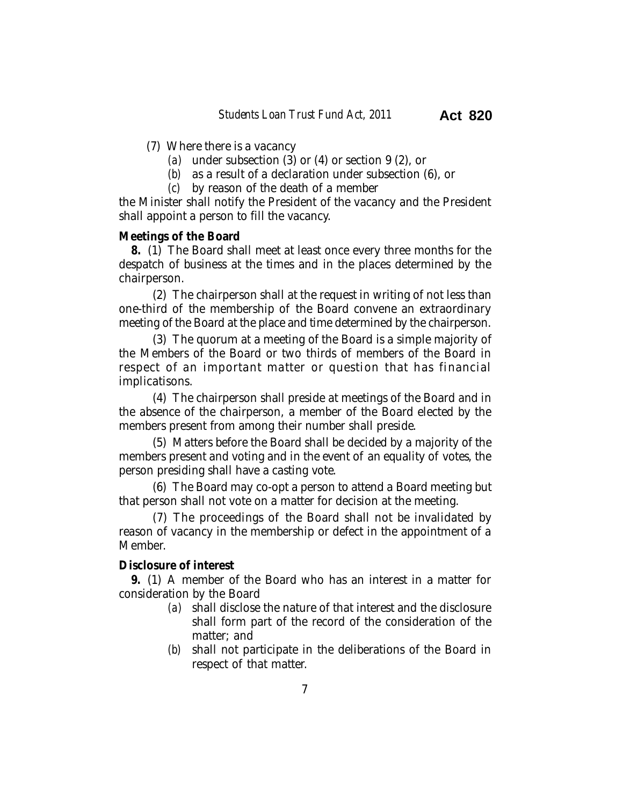- (7) Where there is a vacancy
	- *(a)* under subsection (3) or (4) or section 9 (2), or
	- *(b)* as a result of a declaration under subsection (6), or
	- *(c)* by reason of the death of a member

the Minister shall notify the President of the vacancy and the President shall appoint a person to fill the vacancy.

#### **Meetings of the Board**

**8.** (1) The Board shall meet at least once every three months for the despatch of business at the times and in the places determined by the chairperson.

(2) The chairperson shall at the request in writing of not less than one-third of the membership of the Board convene an extraordinary meeting of the Board at the place and time determined by the chairperson.

(3) The quorum at a meeting of the Board is a simple majority of the Members of the Board or two thirds of members of the Board in respect of an important matter or question that has financial implicatisons.

(4) The chairperson shall preside at meetings of the Board and in the absence of the chairperson, a member of the Board elected by the members present from among their number shall preside.

(5) Matters before the Board shall be decided by a majority of the members present and voting and in the event of an equality of votes, the person presiding shall have a casting vote.

(6) The Board may co-opt a person to attend a Board meeting but that person shall not vote on a matter for decision at the meeting.

(7) The proceedings of the Board shall not be invalidated by reason of vacancy in the membership or defect in the appointment of a Member.

## **Disclosure of interest**

**9.** (1) A member of the Board who has an interest in a matter for consideration by the Board

- *(a)* shall disclose the nature of that interest and the disclosure shall form part of the record of the consideration of the matter; and
- *(b)* shall not participate in the deliberations of the Board in respect of that matter.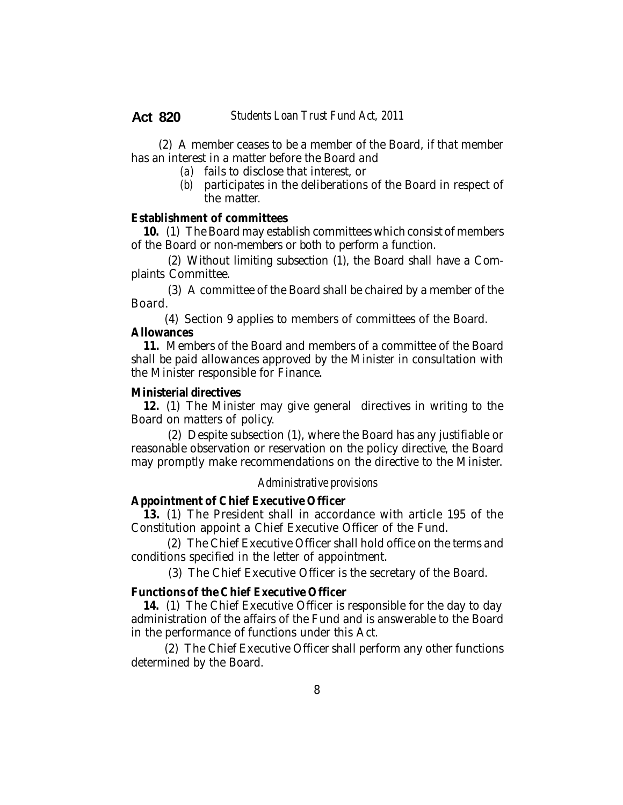(2) A member ceases to be a member of the Board, if that member has an interest in a matter before the Board and

- *(a)* fails to disclose that interest, or
- *(b)* participates in the deliberations of the Board in respect of the matter.

#### **Establishment of committees**

**10.** (1) The Board may establish committees which consist of members of the Board or non-members or both to perform a function.

(2) Without limiting subsection (1), the Board shall have a Complaints Committee.

(3) A committee of the Board shall be chaired by a member of the Board.

(4) Section 9 applies to members of committees of the Board.

## **Allowances**

**11.** Members of the Board and members of a committee of the Board shall be paid allowances approved by the Minister in consultation with the Minister responsible for Finance.

#### **Ministerial directives**

**12.** (1) The Minister may give general directives in writing to the Board on matters of policy.

(2) Despite subsection (1), where the Board has any justifiable or reasonable observation or reservation on the policy directive, the Board may promptly make recommendations on the directive to the Minister.

#### *Administrative provisions*

#### **Appointment of Chief Executive Officer**

**13.** (1) The President shall in accordance with article 195 of the Constitution appoint a Chief Executive Officer of the Fund.

 (2) The Chief Executive Officer shall hold office on the terms and conditions specified in the letter of appointment.

(3) The Chief Executive Officer is the secretary of the Board.

## **Functions of the Chief Executive Officer**

**14.** (1) The Chief Executive Officer is responsible for the day to day administration of the affairs of the Fund and is answerable to the Board in the performance of functions under this Act.

(2) The Chief Executive Officer shall perform any other functions determined by the Board.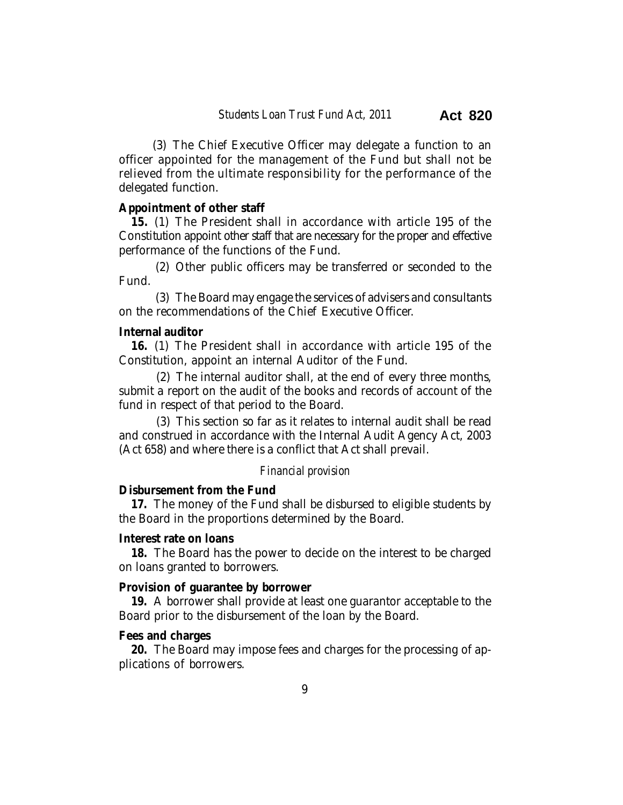(3) The Chief Executive Officer may delegate a function to an officer appointed for the management of the Fund but shall not be relieved from the ultimate responsibility for the performance of the delegated function.

#### **Appointment of other staff**

**15.** (1) The President shall in accordance with article 195 of the Constitution appoint other staff that are necessary for the proper and effective performance of the functions of the Fund.

(2) Other public officers may be transferred or seconded to the Fund.

(3) The Board may engage the services of advisers and consultants on the recommendations of the Chief Executive Officer.

## **Internal auditor**

**16.** (1) The President shall in accordance with article 195 of the Constitution, appoint an internal Auditor of the Fund.

 (2) The internal auditor shall, at the end of every three months, submit a report on the audit of the books and records of account of the fund in respect of that period to the Board.

 (3) This section so far as it relates to internal audit shall be read and construed in accordance with the Internal Audit Agency Act, 2003 (Act 658) and where there is a conflict that Act shall prevail.

#### *Financial provision*

#### **Disbursement from the Fund**

**17.** The money of the Fund shall be disbursed to eligible students by the Board in the proportions determined by the Board.

#### **Interest rate on loans**

**18.** The Board has the power to decide on the interest to be charged on loans granted to borrowers.

#### **Provision of guarantee by borrower**

**19.** A borrower shall provide at least one guarantor acceptable to the Board prior to the disbursement of the loan by the Board.

#### **Fees and charges**

**20.** The Board may impose fees and charges for the processing of applications of borrowers.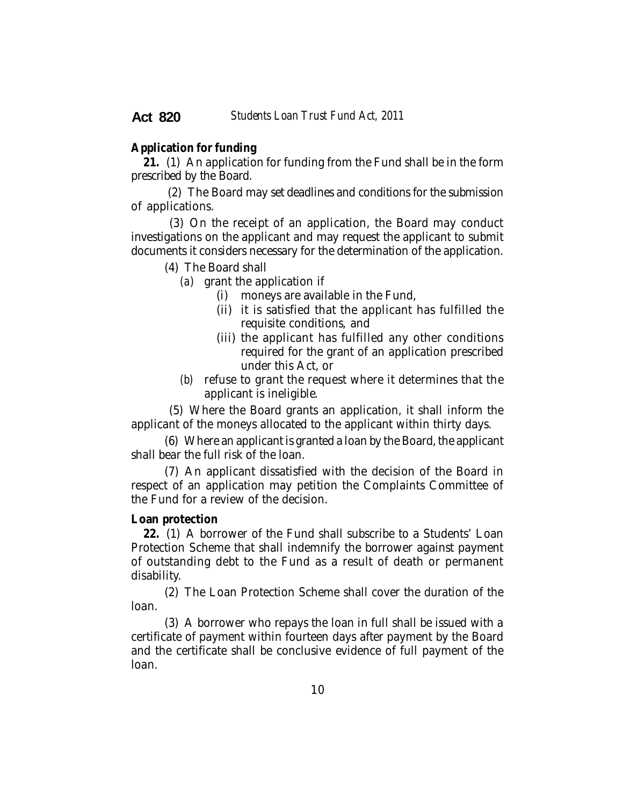#### **Application for funding**

**21.** (1) An application for funding from the Fund shall be in the form prescribed by the Board.

 (2) The Board may set deadlines and conditions for the submission of applications.

 (3) On the receipt of an application, the Board may conduct investigations on the applicant and may request the applicant to submit documents it considers necessary for the determination of the application.

(4) The Board shall

*(a)* grant the application if

- (i) moneys are available in the Fund,
- (ii) it is satisfied that the applicant has fulfilled the requisite conditions, and
- (iii) the applicant has fulfilled any other conditions required for the grant of an application prescribed under this Act, or
- *(b)* refuse to grant the request where it determines that the applicant is ineligible.

 (5) Where the Board grants an application, it shall inform the applicant of the moneys allocated to the applicant within thirty days.

(6) Where an applicant is granted a loan by the Board, the applicant shall bear the full risk of the loan.

(7) An applicant dissatisfied with the decision of the Board in respect of an application may petition the Complaints Committee of the Fund for a review of the decision.

#### **Loan protection**

**22.** (1) A borrower of the Fund shall subscribe to a Students' Loan Protection Scheme that shall indemnify the borrower against payment of outstanding debt to the Fund as a result of death or permanent disability.

(2) The Loan Protection Scheme shall cover the duration of the loan.

(3) A borrower who repays the loan in full shall be issued with a certificate of payment within fourteen days after payment by the Board and the certificate shall be conclusive evidence of full payment of the loan.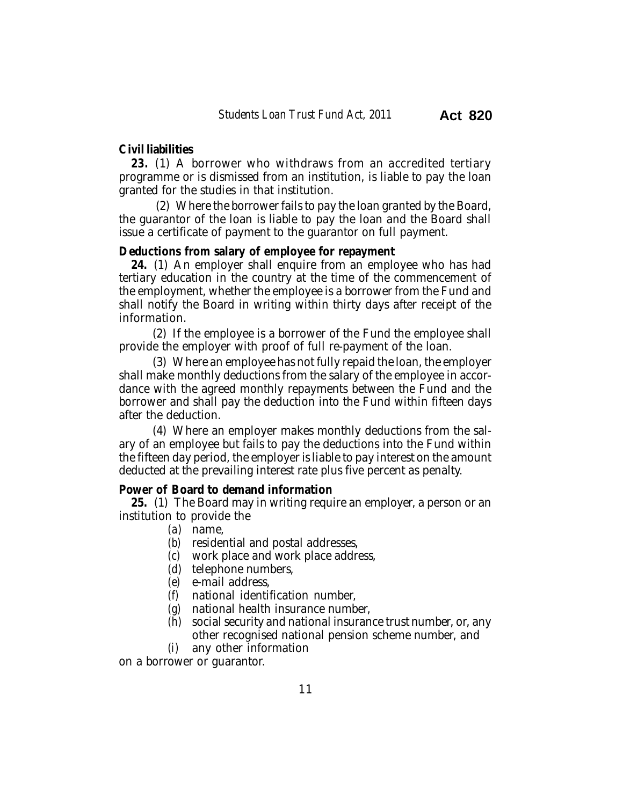#### **Civil liabilities**

**23.** (1) A borrower who withdraws from an accredited tertiary programme or is dismissed from an institution, is liable to pay the loan granted for the studies in that institution.

(2) Where the borrower fails to pay the loan granted by the Board, the guarantor of the loan is liable to pay the loan and the Board shall issue a certificate of payment to the guarantor on full payment.

#### **Deductions from salary of employee for repayment**

**24.** (1) An employer shall enquire from an employee who has had tertiary education in the country at the time of the commencement of the employment, whether the employee is a borrower from the Fund and shall notify the Board in writing within thirty days after receipt of the information.

(2) If the employee is a borrower of the Fund the employee shall provide the employer with proof of full re-payment of the loan.

(3) Where an employee has not fully repaid the loan, the employer shall make monthly deductions from the salary of the employee in accordance with the agreed monthly repayments between the Fund and the borrower and shall pay the deduction into the Fund within fifteen days after the deduction.

(4) Where an employer makes monthly deductions from the salary of an employee but fails to pay the deductions into the Fund within the fifteen day period, the employer is liable to pay interest on the amount deducted at the prevailing interest rate plus five percent as penalty.

#### **Power of Board to demand information**

**25.** (1) The Board may in writing require an employer, a person or an institution to provide the

- *(a)* name,
- *(b)* residential and postal addresses,
- *(c)* work place and work place address,
- *(d)* telephone numbers,
- *(e)* e-mail address,
- *(f)* national identification number,
- *(g)* national health insurance number,
- *(h)* social security and national insurance trust number, or, any other recognised national pension scheme number, and
- *(i)* any other information

on a borrower or guarantor.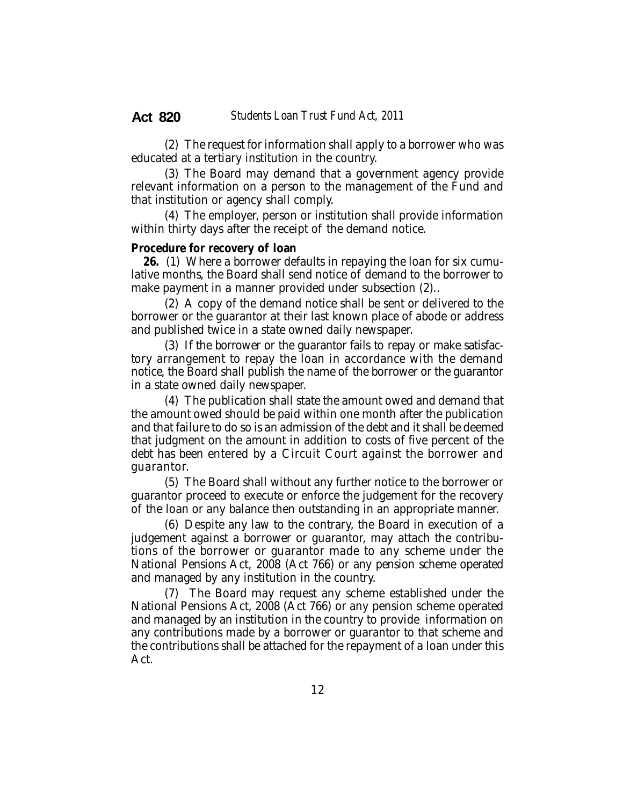(2) The request for information shall apply to a borrower who was educated at a tertiary institution in the country.

(3) The Board may demand that a government agency provide relevant information on a person to the management of the Fund and that institution or agency shall comply.

(4) The employer, person or institution shall provide information within thirty days after the receipt of the demand notice.

#### **Procedure for recovery of loan**

**26.** (1) Where a borrower defaults in repaying the loan for six cumulative months, the Board shall send notice of demand to the borrower to make payment in a manner provided under subsection (2)..

(2) A copy of the demand notice shall be sent or delivered to the borrower or the guarantor at their last known place of abode or address and published twice in a state owned daily newspaper.

(3) If the borrower or the guarantor fails to repay or make satisfactory arrangement to repay the loan in accordance with the demand notice, the Board shall publish the name of the borrower or the guarantor in a state owned daily newspaper.

(4) The publication shall state the amount owed and demand that the amount owed should be paid within one month after the publication and that failure to do so is an admission of the debt and it shall be deemed that judgment on the amount in addition to costs of five percent of the debt has been entered by a Circuit Court against the borrower and guarantor.

(5) The Board shall without any further notice to the borrower or guarantor proceed to execute or enforce the judgement for the recovery of the loan or any balance then outstanding in an appropriate manner.

(6) Despite any law to the contrary, the Board in execution of a judgement against a borrower or guarantor, may attach the contributions of the borrower or guarantor made to any scheme under the National Pensions Act, 2008 (Act 766) or any pension scheme operated and managed by any institution in the country.

(7) The Board may request any scheme established under the National Pensions Act, 2008 (Act 766) or any pension scheme operated and managed by an institution in the country to provide information on any contributions made by a borrower or guarantor to that scheme and the contributions shall be attached for the repayment of a loan under this Act.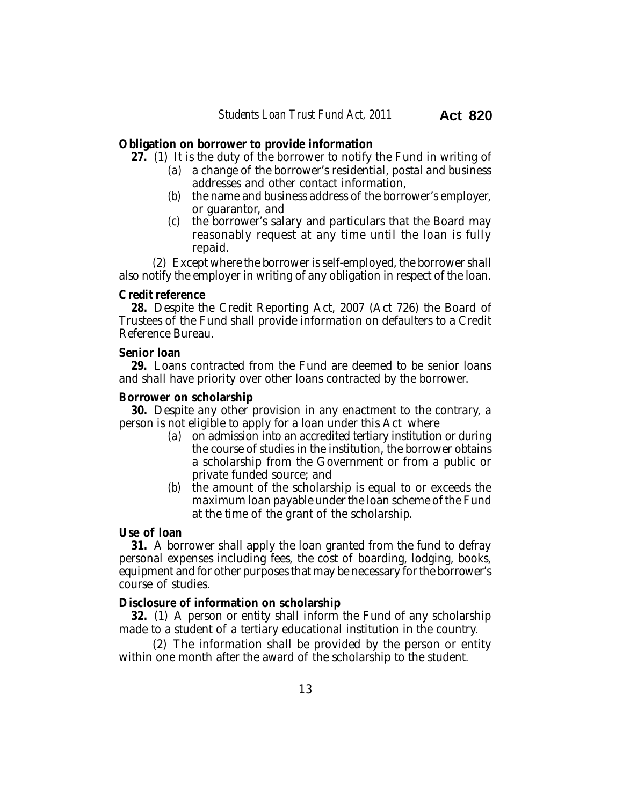#### **Obligation on borrower to provide information**

**27.** (1) It is the duty of the borrower to notify the Fund in writing of

- *(a)* a change of the borrower's residential, postal and business addresses and other contact information,
- *(b)* the name and business address of the borrower's employer, or guarantor, and
- *(c)* the borrower's salary and particulars that the Board may reasonably request at any time until the loan is fully repaid.

*(*2) Except where the borrower is self-employed, the borrower shall also notify the employer in writing of any obligation in respect of the loan.

#### **Credit reference**

**28.** Despite the Credit Reporting Act, 2007 (Act 726) the Board of Trustees of the Fund shall provide information on defaulters to a Credit Reference Bureau.

#### **Senior loan**

**29.** Loans contracted from the Fund are deemed to be senior loans and shall have priority over other loans contracted by the borrower.

#### **Borrower on scholarship**

**30.** Despite any other provision in any enactment to the contrary, a person is not eligible to apply for a loan under this Act where

- *(a)* on admission into an accredited tertiary institution or during the course of studies in the institution, the borrower obtains a scholarship from the Government or from a public or private funded source; and
- *(b)* the amount of the scholarship is equal to or exceeds the maximum loan payable under the loan scheme of the Fund at the time of the grant of the scholarship.

#### **Use of loan**

**31.** A borrower shall apply the loan granted from the fund to defray personal expenses including fees, the cost of boarding, lodging, books, equipment and for other purposes that may be necessary for the borrower's course of studies.

#### **Disclosure of information on scholarship**

**32.** (1) A person or entity shall inform the Fund of any scholarship made to a student of a tertiary educational institution in the country.

(2) The information shall be provided by the person or entity within one month after the award of the scholarship to the student.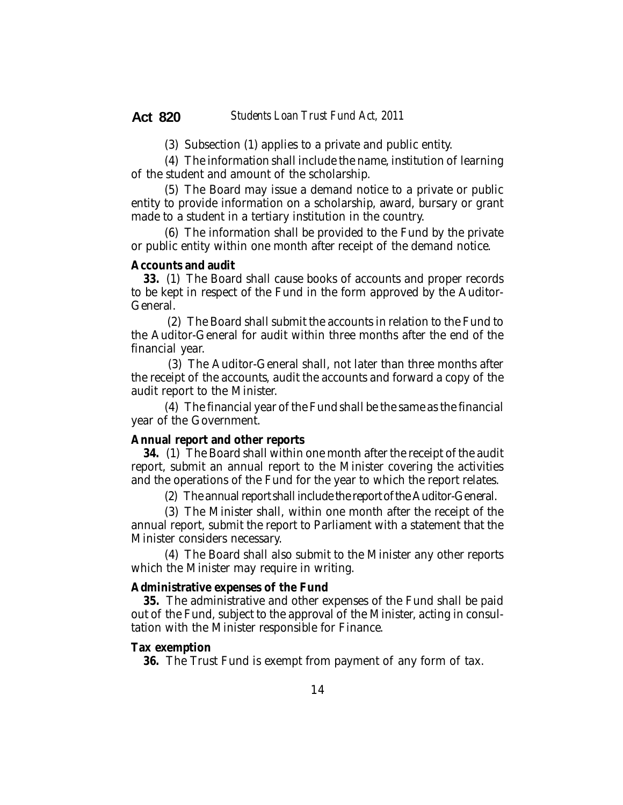(3) Subsection (1) applies to a private and public entity.

(4) The information shall include the name, institution of learning of the student and amount of the scholarship.

(5) The Board may issue a demand notice to a private or public entity to provide information on a scholarship, award, bursary or grant made to a student in a tertiary institution in the country.

(6) The information shall be provided to the Fund by the private or public entity within one month after receipt of the demand notice.

#### **Accounts and audit**

**33.** (1) The Board shall cause books of accounts and proper records to be kept in respect of the Fund in the form approved by the Auditor-General.

 (2) The Board shall submit the accounts in relation to the Fund to the Auditor-General for audit within three months after the end of the financial year.

 (3) The Auditor-General shall, not later than three months after the receipt of the accounts, audit the accounts and forward a copy of the audit report to the Minister.

(4) The financial year of the Fund shall be the same as the financial year of the Government.

#### **Annual report and other reports**

**34.** (1) The Board shall within one month after the receipt of the audit report, submit an annual report to the Minister covering the activities and the operations of the Fund for the year to which the report relates.

(2) The annual report shall include the report of the Auditor-General.

(3) The Minister shall, within one month after the receipt of the annual report, submit the report to Parliament with a statement that the Minister considers necessary.

(4) The Board shall also submit to the Minister any other reports which the Minister may require in writing.

#### **Administrative expenses of the Fund**

**35.** The administrative and other expenses of the Fund shall be paid out of the Fund, subject to the approval of the Minister, acting in consultation with the Minister responsible for Finance.

#### **Tax exemption**

**36.** The Trust Fund is exempt from payment of any form of tax.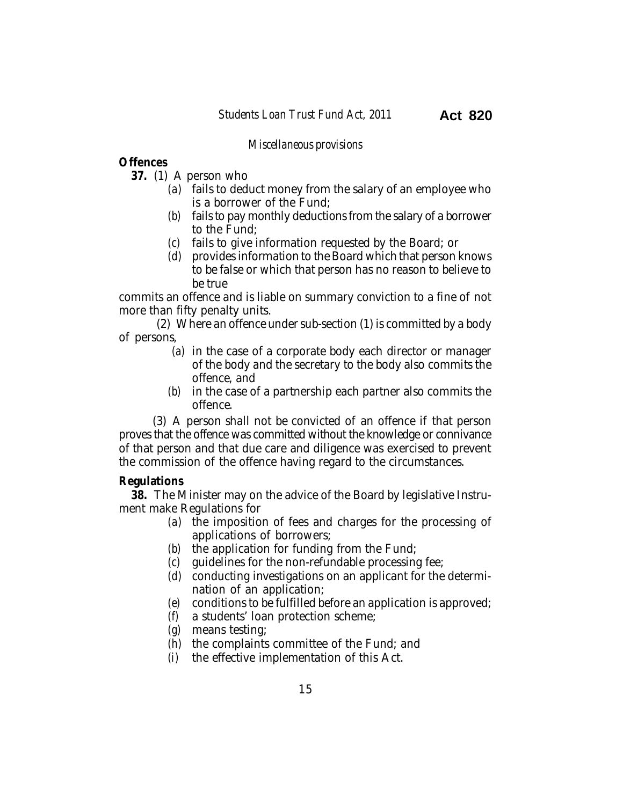#### *Miscellaneous provisions*

## **Offences**

- **37.** (1) A person who
	- *(a)* fails to deduct money from the salary of an employee who is a borrower of the Fund;
	- *(b)* fails to pay monthly deductions from the salary of a borrower to the Fund;
	- *(c)* fails to give information requested by the Board; or
	- *(d)* provides information to the Board which that person knows to be false or which that person has no reason to believe to be true

commits an offence and is liable on summary conviction to a fine of not more than fifty penalty units.

(2) Where an offence under sub-section (1) is committed by a body of persons,

- *(a)* in the case of a corporate body each director or manager of the body and the secretary to the body also commits the offence, and
- *(b)* in the case of a partnership each partner also commits the offence.

(3) A person shall not be convicted of an offence if that person proves that the offence was committed without the knowledge or connivance of that person and that due care and diligence was exercised to prevent the commission of the offence having regard to the circumstances.

#### **Regulations**

**38.** The Minister may on the advice of the Board by legislative Instrument make Regulations for

- *(a)* the imposition of fees and charges for the processing of applications of borrowers;
- *(b)* the application for funding from the Fund;
- *(c)* guidelines for the non-refundable processing fee;
- *(d)* conducting investigations on an applicant for the determination of an application;
- *(e)* conditions to be fulfilled before an application is approved;
- *(f)* a students' loan protection scheme;
- *(g)* means testing;
- *(h)* the complaints committee of the Fund; and
- *(i)* the effective implementation of this Act.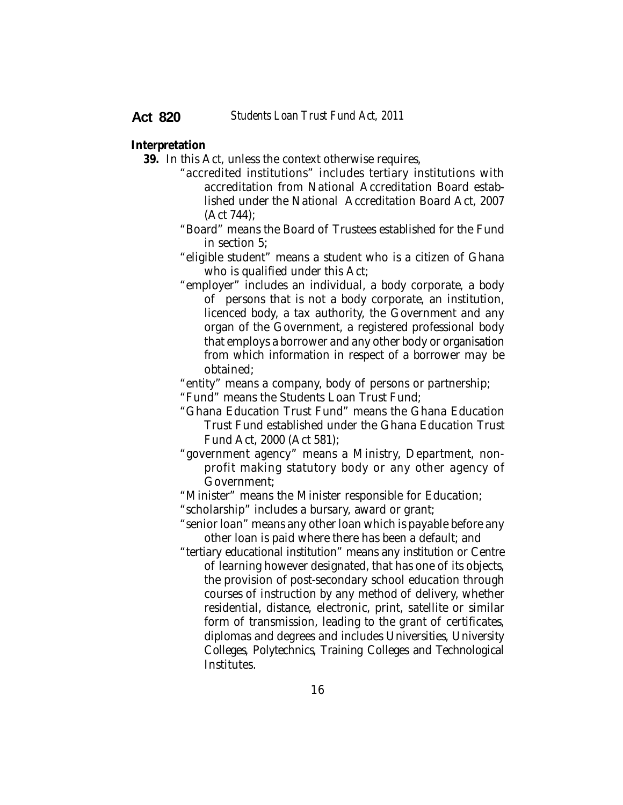#### **Interpretation**

**39.** In this Act, unless the context otherwise requires,

- "accredited institutions" includes tertiary institutions with accreditation from National Accreditation Board established under the National Accreditation Board Act, 2007 (Act 744);
- "Board" means the Board of Trustees established for the Fund in section 5;
- "eligible student" means a student who is a citizen of Ghana who is qualified under this Act;
- "employer" includes an individual, a body corporate, a body of persons that is not a body corporate, an institution, licenced body, a tax authority, the Government and any organ of the Government, a registered professional body that employs a borrower and any other body or organisation from which information in respect of a borrower may be obtained;

"entity" means a company, body of persons or partnership;

"Fund" means the Students Loan Trust Fund;

- "Ghana Education Trust Fund" means the Ghana Education Trust Fund established under the Ghana Education Trust Fund Act, 2000 (Act 581);
- "government agency" means a Ministry, Department, nonprofit making statutory body or any other agency of Government;
- "Minister" means the Minister responsible for Education;
- "scholarship" includes a bursary, award or grant;

"senior loan" means any other loan which is payable before any other loan is paid where there has been a default; and

"tertiary educational institution" means any institution or Centre of learning however designated, that has one of its objects, the provision of post-secondary school education through courses of instruction by any method of delivery, whether residential, distance, electronic, print, satellite or similar form of transmission, leading to the grant of certificates, diplomas and degrees and includes Universities, University Colleges, Polytechnics, Training Colleges and Technological Institutes.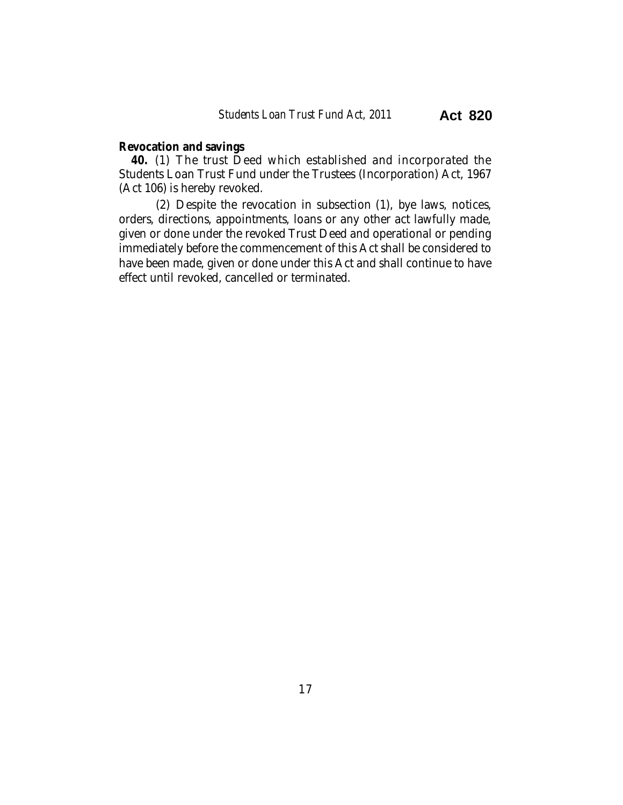### **Revocation and savings**

**40.** (1) The trust Deed which established and incorporated the Students Loan Trust Fund under the Trustees (Incorporation) Act, 1967 (Act 106) is hereby revoked.

(2) Despite the revocation in subsection (1), bye laws, notices, orders, directions, appointments, loans or any other act lawfully made, given or done under the revoked Trust Deed and operational or pending immediately before the commencement of this Act shall be considered to have been made, given or done under this Act and shall continue to have effect until revoked, cancelled or terminated.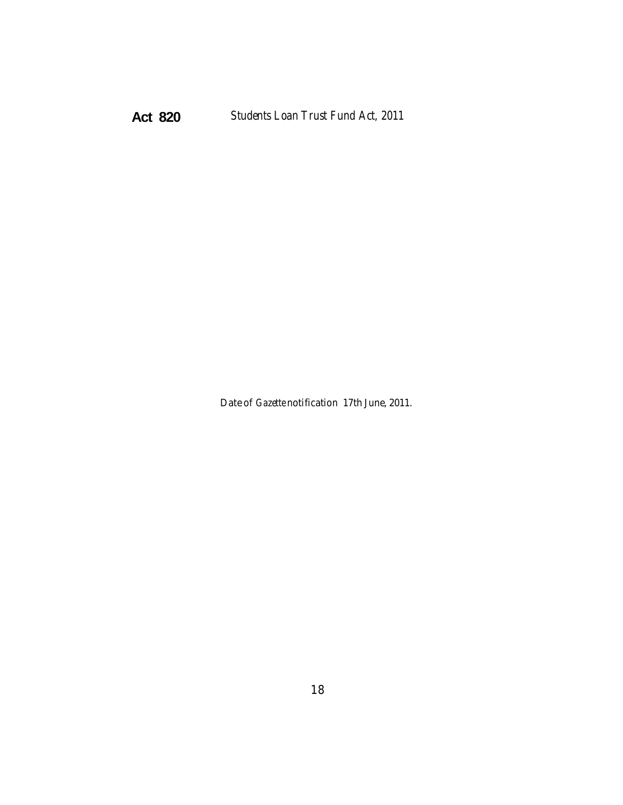Date of *Gazette* notification 17th June, 2011.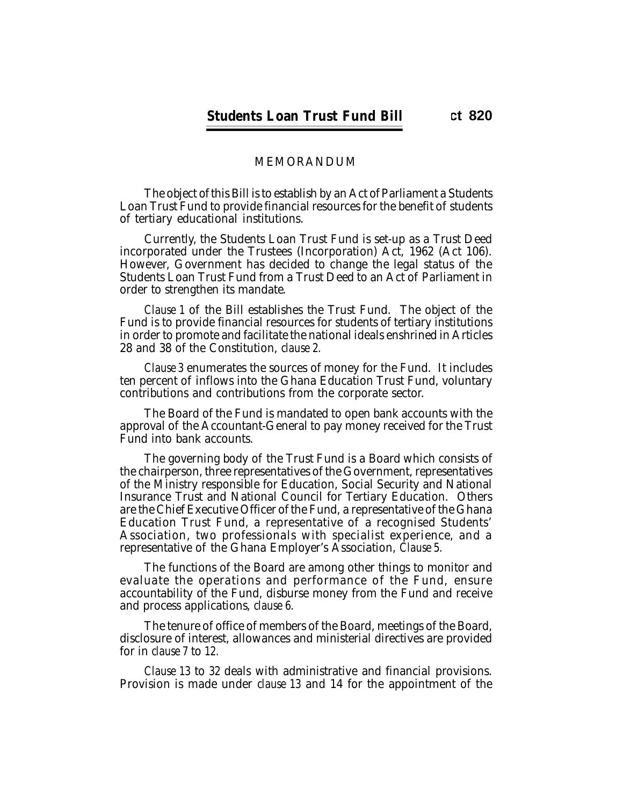### MEMORANDUM

The object of this Bill is to establish by an Act of Parliament a Students Loan Trust Fund to provide financial resources for the benefit of students of tertiary educational institutions.

Currently, the Students Loan Trust Fund is set-up as a Trust Deed incorporated under the Trustees (Incorporation) Act, 1962 (Act 106). However, Government has decided to change the legal status of the Students Loan Trust Fund from a Trust Deed to an Act of Parliament in order to strengthen its mandate.

*Clause 1* of the Bill establishes the Trust Fund. The object of the Fund is to provide financial resources for students of tertiary institutions in order to promote and facilitate the national ideals enshrined in Articles 28 and 38 of the Constitution, *clause 2.*

*Clause 3* enumerates the sources of money for the Fund. It includes ten percent of inflows into the Ghana Education Trust Fund, voluntary contributions and contributions from the corporate sector.

The Board of the Fund is mandated to open bank accounts with the approval of the Accountant-General to pay money received for the Trust Fund into bank accounts.

The governing body of the Trust Fund is a Board which consists of the chairperson, three representatives of the Government, representatives of the Ministry responsible for Education, Social Security and National Insurance Trust and National Council for Tertiary Education. Others are the Chief Executive Officer of the Fund, a representative of the Ghana Education Trust Fund, a representative of a recognised Students' Association, two professionals with specialist experience, and a representative of the Ghana Employer's Association, *Clause 5.*

The functions of the Board are among other things to monitor and evaluate the operations and performance of the Fund, ensure accountability of the Fund, disburse money from the Fund and receive and process applications, *clause 6.*

The tenure of office of members of the Board, meetings of the Board, disclosure of interest, allowances and ministerial directives are provided for in *clause 7* to *12.*

Provision is made under *clause 13* and 14 for the appointment of the *Clause 13* to *32* deals with administrative and financial provisions.